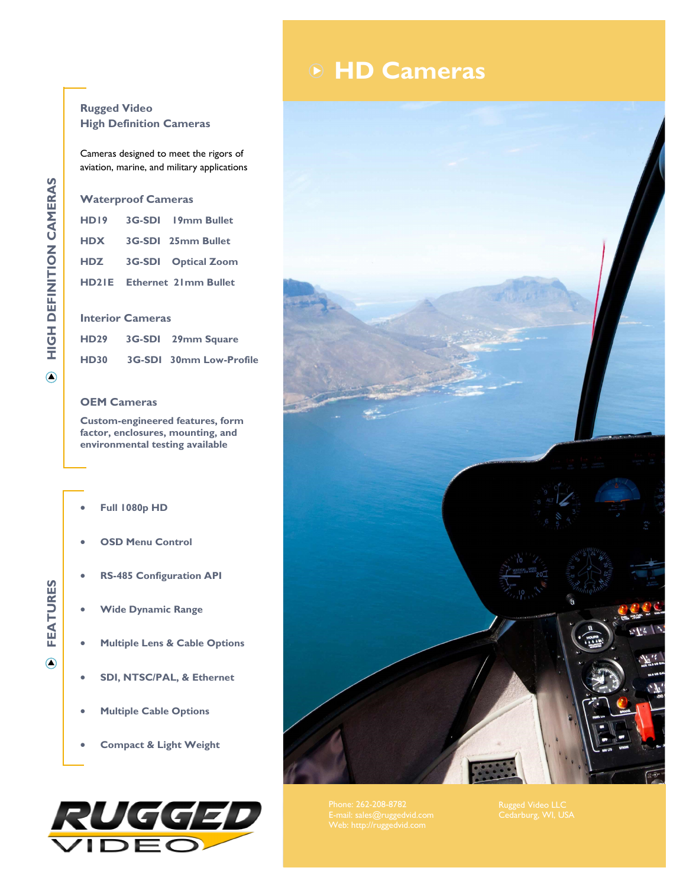## **HD Cameras**



Cameras designed to meet the rigors of aviation, marine, and military applications

## **Waterproof Cameras**

| HD19 3G-SDI 19mm Bullet           |  |  |  |  |  |
|-----------------------------------|--|--|--|--|--|
| HDX 3G-SDI 25mm Bullet            |  |  |  |  |  |
| HDZ 3G-SDI Optical Zoom           |  |  |  |  |  |
| <b>HD2IE</b> Ethernet 21mm Bullet |  |  |  |  |  |
|                                   |  |  |  |  |  |

## **Interior Cameras**

| HD <sub>29</sub> | 3G-SDI 29mm Square             |
|------------------|--------------------------------|
| <b>HD30</b>      | <b>3G-SDI 30mm Low-Profile</b> |

## **OEM Cameras**

**Custom-engineered features, form factor, enclosures, mounting, and environmental testing available**

- **Full 1080p HD**
- **OSD Menu Control**
- **RS-485 Configuration API**
- **Wide Dynamic Range**
- **Multiple Lens & Cable Options**
- **SDI, NTSC/PAL, & Ethernet**
- **Multiple Cable Options**
- **Compact & Light Weight**





**FEATURES**  $\odot$